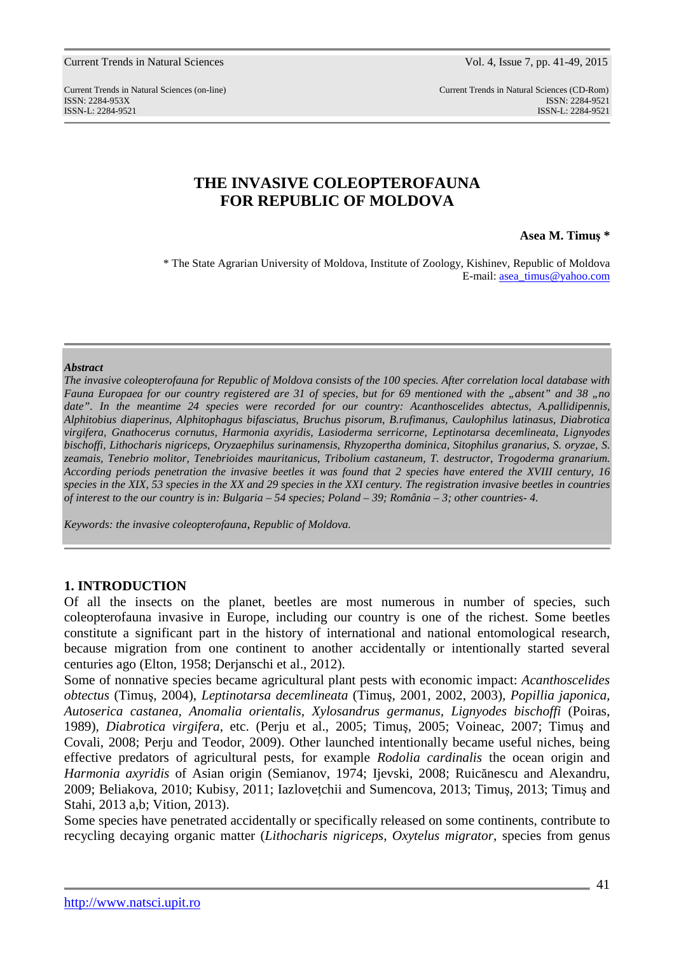Current Trends in Natural Sciences (on-line) Current Trends in Natural Sciences (CD-Rom) ISSN: 2284-953XISSN: 2284-9521 ISSN-L: 2284-9521 ISSN-L: 2284-9521

# **THE INVASIVE COLEOPTEROFAUNA FOR REPUBLIC OF MOLDOVA**

### **Asea M. Timuş \***

\* The State Agrarian University of Moldova, Institute of Zoology, Kishinev, Republic of Moldova E-mail: asea\_timus@yahoo.com

#### *Abstract*

*The invasive coleopterofauna for Republic of Moldova consists of the 100 species. After correlation local database with Fauna Europaea for our country registered are 31 of species, but for 69 mentioned with the "absent" and 38 "no date". In the meantime 24 species were recorded for our country: Acanthoscelides abtectus, A.pallidipennis, Alphitobius diaperinus*, *Alphitophagus bifasciatus, Bruchus pisorum*, *B.rufimanus, Caulophilus latinasus, Diabrotica virgifera, Gnathocerus cornutus, Harmonia axyridis, Lasioderma serricorne, Leptinotarsa decemlineata*, *Lignyodes bischoffi, Lithocharis nigriceps*, *Oryzaephilus surinamensis*, *Rhyzopertha dominica, Sitophilus granarius, S. oryzae, S. zeamais, Tenebrio molitor, Tenebrioides mauritanicus*, *Tribolium castaneum, T. destructor*, *Trogoderma granarium. According periods penetration the invasive beetles it was found that 2 species have entered the XVIII century, 16 species in the XIX, 53 species in the XX and 29 species in the XXI century. The registration invasive beetles in countries of interest to the our country is in: Bulgaria – 54 species; Poland – 39; România – 3; other countries- 4.* 

*Keywords: the invasive coleopterofauna, Republic of Moldova.* 

## **1. INTRODUCTION**

Of all the insects on the planet, beetles are most numerous in number of species, such coleopterofauna invasive in Europe, including our country is one of the richest. Some beetles constitute a significant part in the history of international and national entomological research, because migration from one continent to another accidentally or intentionally started several centuries ago (Elton, 1958; Derjanschi et al., 2012).

Some of nonnative species became agricultural plant pests with economic impact: *Acanthoscelides obtectus* (Timuş, 2004), *Leptinotarsa decemlineata* (Timuş, 2001, 2002, 2003)*, Popillia japonica, Autoserica castanea, Anomalia orientalis, Xylosandrus germanus, Lignyodes bischoffi* (Poiras, 1989)*, Diabrotica virgifera*, etc. (Perju et al., 2005; Timuş, 2005; Voineac, 2007; Timuş and Covali, 2008; Perju and Teodor, 2009). Other launched intentionally became useful niches, being effective predators of agricultural pests, for example *Rodolia cardinalis* the ocean origin and *Harmonia axyridis* of Asian origin (Semianov, 1974; Ijevski, 2008; Ruicănescu and Alexandru, 2009; Beliakova, 2010; Kubisy, 2011; Iazloveţchii and Sumencova, 2013; Timuş, 2013; Timuş and Stahi, 2013 a,b; Vition, 2013).

Some species have penetrated accidentally or specifically released on some continents, contribute to recycling decaying organic matter (*Lithocharis nigriceps, Oxytelus migrator*, species from genus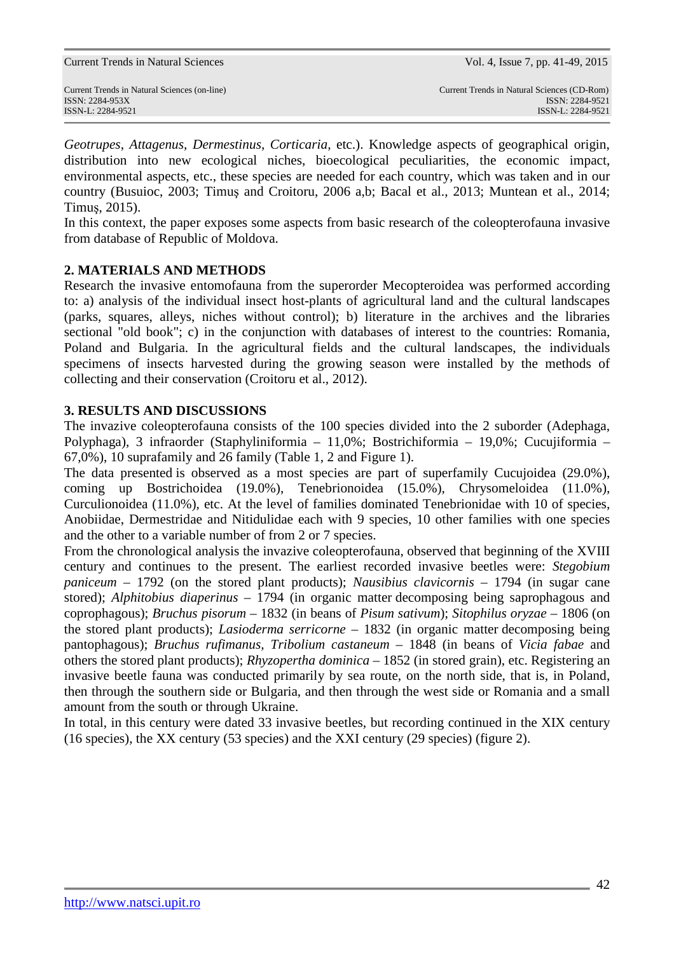*Geotrupes*, *Attagenus, Dermestinus, Corticaria,* etc.). Knowledge aspects of geographical origin, distribution into new ecological niches, bioecological peculiarities, the economic impact, environmental aspects, etc., these species are needed for each country, which was taken and in our country (Busuioc, 2003; Timuş and Croitoru, 2006 a,b; Bacal et al., 2013; Muntean et al., 2014; Timuş, 2015).

In this context, the paper exposes some aspects from basic research of the coleopterofauna invasive from database of Republic of Moldova.

# **2. MATERIALS AND METHODS**

Research the invasive entomofauna from the superorder Mecopteroidea was performed according to: a) analysis of the individual insect host-plants of agricultural land and the cultural landscapes (parks, squares, alleys, niches without control); b) literature in the archives and the libraries sectional "old book"; c) in the conjunction with databases of interest to the countries: Romania, Poland and Bulgaria. In the agricultural fields and the cultural landscapes, the individuals specimens of insects harvested during the growing season were installed by the methods of collecting and their conservation (Croitoru et al., 2012).

# **3. RESULTS AND DISCUSSIONS**

The invazive coleopterofauna consists of the 100 species divided into the 2 suborder (Adephaga, Polyphaga), 3 infraorder (Staphyliniformia – 11,0%; Bostrichiformia – 19,0%; Cucujiformia – 67,0%), 10 suprafamily and 26 family (Table 1, 2 and Figure 1).

The data presented is observed as a most species are part of superfamily Cucujoidea (29.0%), coming up Bostrichoidea (19.0%), Tenebrionoidea (15.0%), Chrysomeloidea (11.0%), Curculionoidea (11.0%), etc. At the level of families dominated Tenebrionidae with 10 of species, Anobiidae, Dermestridae and Nitidulidae each with 9 species, 10 other families with one species and the other to a variable number of from 2 or 7 species.

From the chronological analysis the invazive coleopterofauna, observed that beginning of the XVIII century and continues to the present. The earliest recorded invasive beetles were: *Stegobium paniceum* – 1792 (on the stored plant products); *Nausibius clavicornis* – 1794 (in sugar cane stored); *Alphitobius diaperinus* – 1794 (in organic matter decomposing being saprophagous and coprophagous); *Bruchus pisorum* – 1832 (in beans of *Pisum sativum*); *Sitophilus oryzae* – 1806 (on the stored plant products); *Lasioderma serricorne* – 1832 (in organic matter decomposing being pantophagous); *Bruchus rufimanus, Tribolium castaneum* – 1848 (in beans of *Vicia fabae* and others the stored plant products); *Rhyzopertha dominica* – 1852 (in stored grain), etc. Registering an invasive beetle fauna was conducted primarily by sea route, on the north side, that is, in Poland, then through the southern side or Bulgaria, and then through the west side or Romania and a small amount from the south or through Ukraine.

In total, in this century were dated 33 invasive beetles, but recording continued in the XIX century (16 species), the XX century (53 species) and the XXI century (29 species) (figure 2).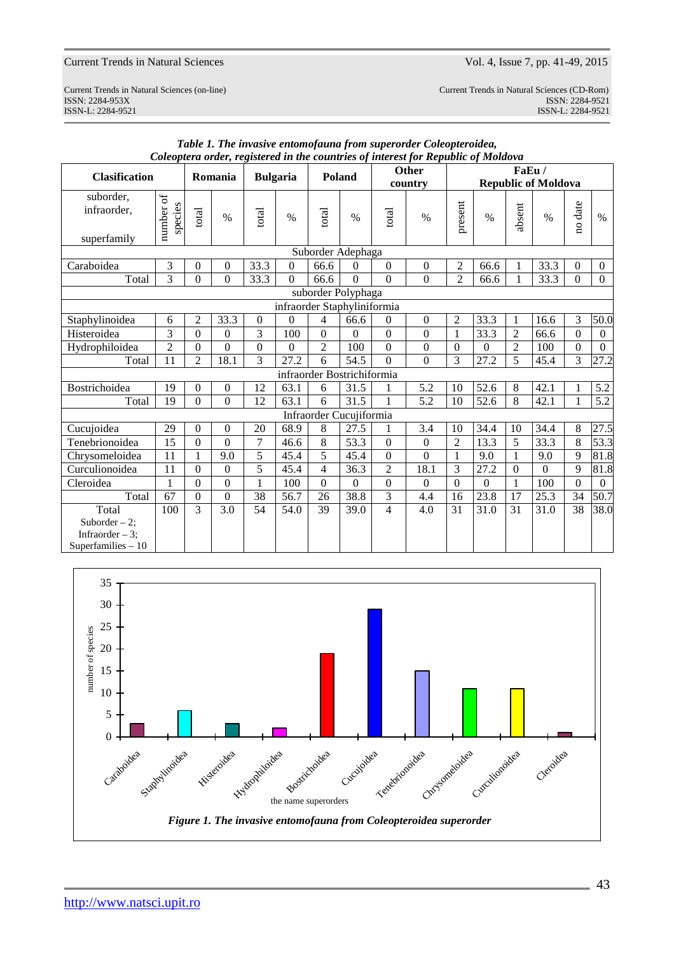Current Trends in Natural Sciences (on-line) Current Trends in Natural Sciences (CD-Rom) ISSN: 2284-953XISSN: 2284-9521 External Sciences (on-line)<br>
ISSN: 2284-953X<br>
ISSN-L: 2284-9521<br>
ISSN-L: 2284-9521<br>
ISSN-L: 2284-9521<br>
ISSN-L: 2284-9521

|                                                             |                                                   |                  |                  |                |                  |                            |                |                          | Coleoplera oraer, registerea in the countries of interest for Kepublic of Motaova |                |                |                |                            |                  |                |
|-------------------------------------------------------------|---------------------------------------------------|------------------|------------------|----------------|------------------|----------------------------|----------------|--------------------------|-----------------------------------------------------------------------------------|----------------|----------------|----------------|----------------------------|------------------|----------------|
| <b>Clasification</b>                                        |                                                   |                  | Romania          |                | <b>Bulgaria</b>  | Poland                     |                |                          | <b>Other</b>                                                                      |                |                | FaEu/          |                            |                  |                |
|                                                             |                                                   |                  |                  |                |                  |                            |                |                          | country                                                                           |                |                |                | <b>Republic of Moldova</b> |                  |                |
| suborder,<br>infraorder,<br>superfamily                     | number of<br>species                              | total            | $\%$             | total          | $\%$             | total                      | $\%$           | total                    | $\%$                                                                              | present        | $\%$           | absent         | $\%$                       | no date          | $\%$           |
|                                                             |                                                   |                  |                  |                |                  | Suborder Adephaga          |                |                          |                                                                                   |                |                |                |                            |                  |                |
| Caraboidea                                                  | 3                                                 | $\boldsymbol{0}$ | $\boldsymbol{0}$ | 33.3           | $\boldsymbol{0}$ | 66.6                       | 0              | $\mathbf{0}$             | $\boldsymbol{0}$                                                                  | $\overline{c}$ | 66.6           |                | 33.3                       | $\overline{0}$   | $\overline{0}$ |
|                                                             |                                                   |                  |                  |                | $\Omega$         |                            | $\Omega$       |                          | $\overline{0}$                                                                    |                |                | 1              |                            |                  |                |
| Total                                                       | 3                                                 | $\overline{0}$   | $\overline{0}$   | 33.3           |                  | 66.6                       |                | $\overline{0}$           |                                                                                   | $\overline{2}$ | 66.6           | 1              | 33.3                       | $\theta$         | $\overline{0}$ |
|                                                             | suborder Polyphaga<br>infraorder Staphyliniformia |                  |                  |                |                  |                            |                |                          |                                                                                   |                |                |                |                            |                  |                |
|                                                             |                                                   |                  |                  |                |                  |                            |                |                          |                                                                                   |                |                |                |                            |                  |                |
| Staphylinoidea                                              | 6                                                 | $\overline{2}$   | 33.3             | $\Omega$       | $\Omega$         | $\overline{4}$             | 66.6           | $\Omega$                 | $\overline{0}$                                                                    | 2              | 33.3           | $\mathbf{1}$   | 16.6                       | 3                | 50.0           |
| Histeroidea                                                 | 3                                                 | $\Omega$         | $\Omega$         | 3              | 100              | $\Omega$                   | $\Omega$       | $\Omega$                 | $\boldsymbol{0}$                                                                  | 1              | 33.3           | $\overline{2}$ | 66.6                       | $\Omega$         | $\theta$       |
| Hydrophiloidea                                              | $\overline{2}$                                    | $\Omega$         | $\overline{0}$   | $\Omega$       | $\Omega$         | $\overline{2}$             | 100            | $\overline{0}$           | $\overline{0}$                                                                    | $\Omega$       | $\overline{0}$ | $\overline{2}$ | 100                        | $\Omega$         | $\mathbf{0}$   |
| Total                                                       | 11                                                | 2                | 18.1             | 3              | 27.2             | 6                          | 54.5           | $\Omega$                 | $\Omega$                                                                          | 3              | 27.2           | 5              | 45.4                       | 3                | 27.2           |
|                                                             |                                                   |                  |                  |                |                  | infraorder Bostrichiformia |                |                          |                                                                                   |                |                |                |                            |                  |                |
| Bostrichoidea                                               | 19                                                | $\theta$         | $\mathbf{0}$     | 12             | 63.1             | 6                          | 31.5           | 1                        | 5.2                                                                               | 10             | 52.6           | 8              | 42.1                       | 1                | 5.2            |
| Total                                                       | 19                                                | $\Omega$         | $\Omega$         | 12             | 63.1             | 6                          | 31.5           | $\mathbf{1}$             | 5.2                                                                               | 10             | 52.6           | 8              | 42.1                       | 1                | 5.2            |
|                                                             |                                                   |                  |                  |                |                  | Infraorder Cucujiformia    |                |                          |                                                                                   |                |                |                |                            |                  |                |
| Cucujoidea                                                  | 29                                                | $\Omega$         | $\Omega$         | 20             | 68.9             | 8                          | 27.5           | 1                        | 3.4                                                                               | 10             | 34.4           | 10             | 34.4                       | 8                | 27.5           |
| Tenebrionoidea                                              | 15                                                | $\mathbf{0}$     | $\mathbf{0}$     | $\overline{7}$ | 46.6             | 8                          | 53.3           | $\Omega$                 | $\overline{0}$                                                                    | $\overline{2}$ | 13.3           | $\overline{5}$ | 33.3                       | 8                | 53.3           |
| Chrysomeloidea                                              | 11                                                | 1                | 9.0              | 5              | 45.4             | 5                          | 45.4           | $\Omega$                 | $\Omega$                                                                          | 1              | 9.0            | $\mathbf{1}$   | 9.0                        | 9                | 81.8           |
| Curculionoidea                                              | $\overline{11}$                                   | $\overline{0}$   | $\mathbf{0}$     | $\overline{5}$ | 45.4             | $\overline{4}$             | 36.3           | $\overline{2}$           | 18.1                                                                              | $\overline{3}$ | 27.2           | $\Omega$       | $\theta$                   | 9                | 81.8           |
| Cleroidea                                                   | 1                                                 | $\theta$         | $\boldsymbol{0}$ | 1              | 100              | $\Omega$                   | $\overline{0}$ | $\boldsymbol{0}$         | $\Omega$                                                                          | $\Omega$       | $\Omega$       | $\mathbf{1}$   | 100                        | $\boldsymbol{0}$ | $\overline{0}$ |
| Total                                                       | 67                                                | $\Omega$         | $\Omega$         | 38             | 56.7             | 26                         | 38.8           | 3                        | 4.4                                                                               | 16             | 23.8           | 17             | 25.3                       | 34               | 50.7           |
| Total                                                       | 100                                               | 3                | 3.0              | 54             | 54.0             | 39                         | 39.0           | $\overline{\mathcal{L}}$ | 4.0                                                                               | 31             | 31.0           | 31             | 31.0                       | 38               | 38.0           |
| Suborder $-2$ ;<br>Infraorder $-3$ :<br>Superfamilies $-10$ |                                                   |                  |                  |                |                  |                            |                |                          |                                                                                   |                |                |                |                            |                  |                |

#### *Table 1. The invasive entomofauna from superorder Coleopteroidea, Coleoptera order, registered in the countries of interest for Republic of Moldova*

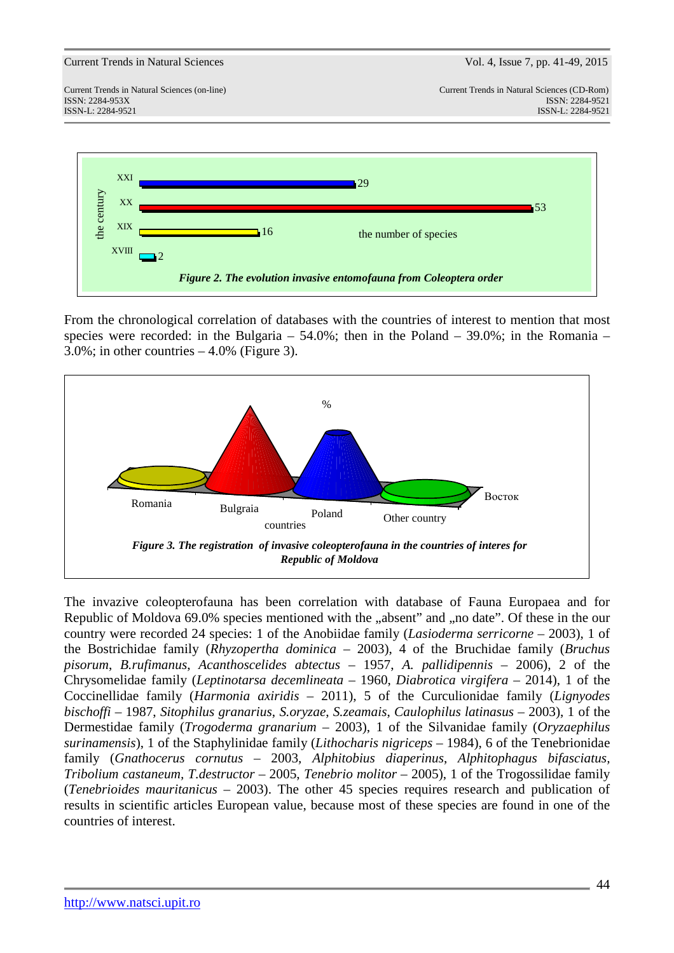

From the chronological correlation of databases with the countries of interest to mention that most species were recorded: in the Bulgaria –  $54.0\%$ ; then in the Poland –  $39.0\%$ ; in the Romania –  $3.0\%$ ; in other countries  $-4.0\%$  (Figure 3).



The invazive coleopterofauna has been correlation with database of Fauna Europaea and for Republic of Moldova 69.0% species mentioned with the "absent" and "no date". Of these in the our country were recorded 24 species: 1 of the Anobiidae family (*Lasioderma serricorne* – 2003), 1 of the Bostrichidae family (*Rhyzopertha dominica* – 2003), 4 of the Bruchidae family (*Bruchus pisorum*, *B.rufimanus*, *Acanthoscelides abtectus* – 1957, *A. pallidipennis –* 2006), 2 of the Chrysomelidae family (*Leptinotarsa decemlineata* – 1960, *Diabrotica virgifera* – 2014), 1 of the Coccinellidae family (*Harmonia axiridis –* 2011), 5 of the Curculionidae family (*Lignyodes bischoffi* – 1987, *Sitophilus granarius*, *S.oryzae*, *S.zeamais*, *Caulophilus latinasus* – 2003), 1 of the Dermestidae family (*Trogoderma granarium* – 2003), 1 of the Silvanidae family (*Oryzaephilus surinamensis*), 1 of the Staphylinidae family (*Lithocharis nigriceps* – 1984), 6 of the Tenebrionidae family (*Gnathocerus cornutus* – 2003*, Alphitobius diaperinus*, *Alphitophagus bifasciatus, Tribolium castaneum, T.destructor* – 2005, *Tenebrio molitor* – 2005), 1 of the Trogossilidae family (*Tenebrioides mauritanicus* – 2003). The other 45 species requires research and publication of results in scientific articles European value, because most of these species are found in one of the countries of interest.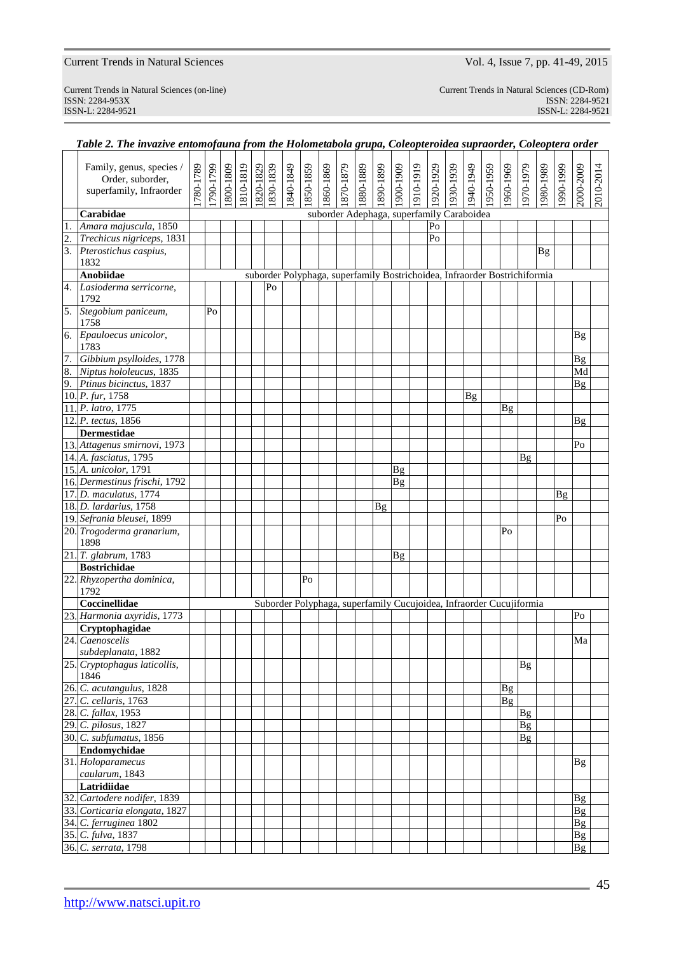ISSN-L: 2284-9521 ISSN-L: 2284-9521

| Current Trends in Natural Sciences (on-line) | Current Trends in Natural Sciences (CD-Rom) |
|----------------------------------------------|---------------------------------------------|
| ISSN: 2284-953X                              | ISSN: 2284-9521                             |
| ISSN-L 2284-9521                             | $ISSN-I \cdot 2284-9521$                    |

|                  | Family, genus, species /<br>Order, suborder,<br>superfamily, Infraorder | 1780-1789 | [790-1799] | 1800-1809 | 1810-1819 | 1820-1829 | 1830-1839 | 1840-1849 | 1850-1859 | 1860-1869 | 1870-1879                                                                 | 1880-1889 | 1890-1899 | 1900-1909 | 1910-1919 | 1920-1929 | 1930-1939 | 1940-1949 | 1950-1959 | 1960-1969              | 1970-1979       | 1980-1989 | 1990-1999 | 2000-2009                    | 2010-2014 |
|------------------|-------------------------------------------------------------------------|-----------|------------|-----------|-----------|-----------|-----------|-----------|-----------|-----------|---------------------------------------------------------------------------|-----------|-----------|-----------|-----------|-----------|-----------|-----------|-----------|------------------------|-----------------|-----------|-----------|------------------------------|-----------|
|                  |                                                                         |           |            |           |           |           |           |           |           |           |                                                                           |           |           |           |           |           |           |           |           |                        |                 |           |           |                              |           |
|                  | Carabidae                                                               |           |            |           |           |           |           |           |           |           | suborder Adephaga, superfamily Caraboidea                                 |           |           |           |           |           |           |           |           |                        |                 |           |           |                              |           |
| 1.               | Amara majuscula, 1850                                                   |           |            |           |           |           |           |           |           |           |                                                                           |           |           |           |           | Po        |           |           |           |                        |                 |           |           |                              |           |
| $\overline{2}$ . | Trechicus nigriceps, 1831                                               |           |            |           |           |           |           |           |           |           |                                                                           |           |           |           |           | Po        |           |           |           |                        |                 |           |           |                              |           |
| $\overline{3}$ . | Pterostichus caspius,<br>1832                                           |           |            |           |           |           |           |           |           |           |                                                                           |           |           |           |           |           |           |           |           |                        |                 | <b>Bg</b> |           |                              |           |
|                  | <b>Anobiidae</b>                                                        |           |            |           |           |           |           |           |           |           | suborder Polyphaga, superfamily Bostrichoidea, Infraorder Bostrichiformia |           |           |           |           |           |           |           |           |                        |                 |           |           |                              |           |
| 4.               | Lasioderma serricorne,<br>1792                                          |           |            |           |           |           | Po        |           |           |           |                                                                           |           |           |           |           |           |           |           |           |                        |                 |           |           |                              |           |
| 5.               | Stegobium paniceum,<br>1758                                             |           | Po         |           |           |           |           |           |           |           |                                                                           |           |           |           |           |           |           |           |           |                        |                 |           |           |                              |           |
| 6.               | Epauloecus unicolor,<br>1783                                            |           |            |           |           |           |           |           |           |           |                                                                           |           |           |           |           |           |           |           |           |                        |                 |           |           | <b>Bg</b>                    |           |
| 7.               | Gibbium psylloides, 1778                                                |           |            |           |           |           |           |           |           |           |                                                                           |           |           |           |           |           |           |           |           |                        |                 |           |           | Bg                           |           |
| 8.               | Niptus hololeucus, 1835                                                 |           |            |           |           |           |           |           |           |           |                                                                           |           |           |           |           |           |           |           |           |                        |                 |           |           | Md                           |           |
| 9.               | Ptinus bicinctus, 1837                                                  |           |            |           |           |           |           |           |           |           |                                                                           |           |           |           |           |           |           |           |           |                        |                 |           |           | Bg                           |           |
|                  | 10. P. fur, 1758                                                        |           |            |           |           |           |           |           |           |           |                                                                           |           |           |           |           |           |           | <b>Bg</b> |           |                        |                 |           |           |                              |           |
|                  | 11. P. latro, 1775                                                      |           |            |           |           |           |           |           |           |           |                                                                           |           |           |           |           |           |           |           |           | <b>Bg</b>              |                 |           |           |                              |           |
|                  | 12. P. tectus, 1856                                                     |           |            |           |           |           |           |           |           |           |                                                                           |           |           |           |           |           |           |           |           |                        |                 |           |           | Βg                           |           |
|                  | <b>Dermestidae</b>                                                      |           |            |           |           |           |           |           |           |           |                                                                           |           |           |           |           |           |           |           |           |                        |                 |           |           |                              |           |
|                  | 13. Attagenus smirnovi, 1973                                            |           |            |           |           |           |           |           |           |           |                                                                           |           |           |           |           |           |           |           |           |                        |                 |           |           | P <sub>O</sub>               |           |
|                  | 14. A. fasciatus, 1795                                                  |           |            |           |           |           |           |           |           |           |                                                                           |           |           |           |           |           |           |           |           |                        | Bg              |           |           |                              |           |
|                  | 15. A. unicolor, 1791                                                   |           |            |           |           |           |           |           |           |           |                                                                           |           |           | <b>Bg</b> |           |           |           |           |           |                        |                 |           |           |                              |           |
|                  | 16. Dermestinus frischi, 1792                                           |           |            |           |           |           |           |           |           |           |                                                                           |           |           | Bg        |           |           |           |           |           |                        |                 |           |           |                              |           |
|                  | 17. D. maculatus, 1774<br>18. D. lardarius, 1758                        |           |            |           |           |           |           |           |           |           |                                                                           |           |           |           |           |           |           |           |           |                        |                 |           | Bg        |                              |           |
|                  | 19. Sefrania bleusei, 1899                                              |           |            |           |           |           |           |           |           |           |                                                                           |           | Bg        |           |           |           |           |           |           |                        |                 |           | Po        |                              |           |
|                  | 20. Trogoderma granarium,                                               |           |            |           |           |           |           |           |           |           |                                                                           |           |           |           |           |           |           |           |           | Po                     |                 |           |           |                              |           |
|                  | 1898                                                                    |           |            |           |           |           |           |           |           |           |                                                                           |           |           |           |           |           |           |           |           |                        |                 |           |           |                              |           |
|                  | 21. T. glabrum, 1783                                                    |           |            |           |           |           |           |           |           |           |                                                                           |           |           | Bg        |           |           |           |           |           |                        |                 |           |           |                              |           |
|                  | <b>Bostrichidae</b>                                                     |           |            |           |           |           |           |           |           |           |                                                                           |           |           |           |           |           |           |           |           |                        |                 |           |           |                              |           |
|                  | 22. Rhyzopertha dominica,<br>1792                                       |           |            |           |           |           |           |           | Po        |           |                                                                           |           |           |           |           |           |           |           |           |                        |                 |           |           |                              |           |
|                  | Coccinellidae                                                           |           |            |           |           |           |           |           |           |           | Suborder Polyphaga, superfamily Cucujoidea, Infraorder Cucujiformia       |           |           |           |           |           |           |           |           |                        |                 |           |           |                              |           |
|                  | 23. Harmonia axyridis, 1773                                             |           |            |           |           |           |           |           |           |           |                                                                           |           |           |           |           |           |           |           |           |                        |                 |           |           | Po                           |           |
|                  | Cryptophagidae                                                          |           |            |           |           |           |           |           |           |           |                                                                           |           |           |           |           |           |           |           |           |                        |                 |           |           |                              |           |
|                  | 24. Caenoscelis<br>subdeplanata, 1882                                   |           |            |           |           |           |           |           |           |           |                                                                           |           |           |           |           |           |           |           |           |                        |                 |           |           | Ma                           |           |
|                  | 25. Cryptophagus laticollis,                                            |           |            |           |           |           |           |           |           |           |                                                                           |           |           |           |           |           |           |           |           |                        | <b>Bg</b>       |           |           |                              |           |
|                  | 1846<br>26. C. acutangulus, 1828                                        |           |            |           |           |           |           |           |           |           |                                                                           |           |           |           |           |           |           |           |           |                        |                 |           |           |                              |           |
|                  | 27. C. cellaris, 1763                                                   |           |            |           |           |           |           |           |           |           |                                                                           |           |           |           |           |           |           |           |           | <b>Bg</b><br><b>Bg</b> |                 |           |           |                              |           |
|                  | 28. C. fallax, 1953                                                     |           |            |           |           |           |           |           |           |           |                                                                           |           |           |           |           |           |           |           |           |                        | <b>Bg</b>       |           |           |                              |           |
|                  | 29. C. pilosus, 1827                                                    |           |            |           |           |           |           |           |           |           |                                                                           |           |           |           |           |           |           |           |           |                        | $\overline{Bg}$ |           |           |                              |           |
|                  | 30. C. subfumatus, 1856                                                 |           |            |           |           |           |           |           |           |           |                                                                           |           |           |           |           |           |           |           |           |                        | <b>Bg</b>       |           |           |                              |           |
|                  | Endomychidae                                                            |           |            |           |           |           |           |           |           |           |                                                                           |           |           |           |           |           |           |           |           |                        |                 |           |           |                              |           |
|                  | 31. Holoparamecus                                                       |           |            |           |           |           |           |           |           |           |                                                                           |           |           |           |           |           |           |           |           |                        |                 |           |           | <b>Bg</b>                    |           |
|                  | caularum, 1843                                                          |           |            |           |           |           |           |           |           |           |                                                                           |           |           |           |           |           |           |           |           |                        |                 |           |           |                              |           |
|                  | Latridiidae                                                             |           |            |           |           |           |           |           |           |           |                                                                           |           |           |           |           |           |           |           |           |                        |                 |           |           |                              |           |
|                  | 32. Cartodere nodifer, 1839<br>33. Corticaria elongata, 1827            |           |            |           |           |           |           |           |           |           |                                                                           |           |           |           |           |           |           |           |           |                        |                 |           |           | <b>Bg</b><br>$\overline{Bg}$ |           |
|                  | 34. C. ferruginea 1802                                                  |           |            |           |           |           |           |           |           |           |                                                                           |           |           |           |           |           |           |           |           |                        |                 |           |           | $\overline{Bg}$              |           |
|                  | 35. C. fulva, 1837                                                      |           |            |           |           |           |           |           |           |           |                                                                           |           |           |           |           |           |           |           |           |                        |                 |           |           | <b>Bg</b>                    |           |
|                  | 36. C. serrata, 1798                                                    |           |            |           |           |           |           |           |           |           |                                                                           |           |           |           |           |           |           |           |           |                        |                 |           |           | $\overline{Bg}$              |           |
|                  |                                                                         |           |            |           |           |           |           |           |           |           |                                                                           |           |           |           |           |           |           |           |           |                        |                 |           |           |                              |           |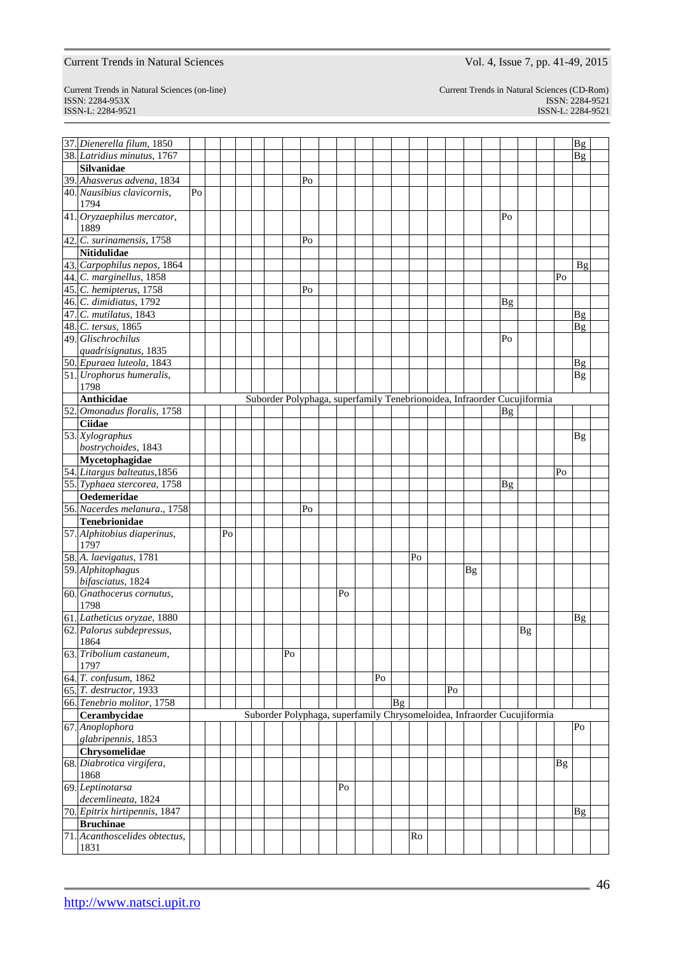Current Trends in Natural Sciences (on-line) Current Trends in Natural Sciences (CD-Rom) ISSN: 2284-953XISSN: 2284-9521 ISSN-L: 2284-9521 ISSN-L: 2284-9521

| 37. Dienerella filum, 1850    |    |    |  |    |    |    |    |                |    |                                                                         |    |           |           |    |           | <b>Bg</b>      |  |
|-------------------------------|----|----|--|----|----|----|----|----------------|----|-------------------------------------------------------------------------|----|-----------|-----------|----|-----------|----------------|--|
| 38. Latridius minutus, 1767   |    |    |  |    |    |    |    |                |    |                                                                         |    |           |           |    |           | Βg             |  |
| <b>Silvanidae</b>             |    |    |  |    |    |    |    |                |    |                                                                         |    |           |           |    |           |                |  |
| 39. Ahasverus advena, 1834    |    |    |  |    | Po |    |    |                |    |                                                                         |    |           |           |    |           |                |  |
| 40. Nausibius clavicornis,    | Po |    |  |    |    |    |    |                |    |                                                                         |    |           |           |    |           |                |  |
| 1794                          |    |    |  |    |    |    |    |                |    |                                                                         |    |           |           |    |           |                |  |
| 41. Oryzaephilus mercator,    |    |    |  |    |    |    |    |                |    |                                                                         |    |           | Po        |    |           |                |  |
| 1889                          |    |    |  |    |    |    |    |                |    |                                                                         |    |           |           |    |           |                |  |
| 42. $C.$ surinamensis, 1758   |    |    |  |    | Po |    |    |                |    |                                                                         |    |           |           |    |           |                |  |
| <b>Nitidulidae</b>            |    |    |  |    |    |    |    |                |    |                                                                         |    |           |           |    |           |                |  |
| 43. Carpophilus nepos, 1864   |    |    |  |    |    |    |    |                |    |                                                                         |    |           |           |    |           | Βg             |  |
|                               |    |    |  |    |    |    |    |                |    |                                                                         |    |           |           |    | Po        |                |  |
| 44. C. marginellus, 1858      |    |    |  |    |    |    |    |                |    |                                                                         |    |           |           |    |           |                |  |
| 45. C. hemipterus, 1758       |    |    |  |    | Po |    |    |                |    |                                                                         |    |           |           |    |           |                |  |
| 46. C. dimidiatus, 1792       |    |    |  |    |    |    |    |                |    |                                                                         |    |           | Bg        |    |           |                |  |
| 47. C. mutilatus, 1843        |    |    |  |    |    |    |    |                |    |                                                                         |    |           |           |    |           | Bg             |  |
| 48. C. tersus, 1865           |    |    |  |    |    |    |    |                |    |                                                                         |    |           |           |    |           | Bg             |  |
| 49. Glischrochilus            |    |    |  |    |    |    |    |                |    |                                                                         |    |           | Po        |    |           |                |  |
| quadrisignatus, 1835          |    |    |  |    |    |    |    |                |    |                                                                         |    |           |           |    |           |                |  |
| 50. Epuraea luteola, 1843     |    |    |  |    |    |    |    |                |    |                                                                         |    |           |           |    |           | $\mathbf{Bg}$  |  |
| 51. Urophorus humeralis,      |    |    |  |    |    |    |    |                |    |                                                                         |    |           |           |    |           | <b>Bg</b>      |  |
| 1798                          |    |    |  |    |    |    |    |                |    |                                                                         |    |           |           |    |           |                |  |
| Anthicidae                    |    |    |  |    |    |    |    |                |    | Suborder Polyphaga, superfamily Tenebrionoidea, Infraorder Cucujiformia |    |           |           |    |           |                |  |
| 52. Omonadus floralis, 1758   |    |    |  |    |    |    |    |                |    |                                                                         |    |           | <b>Bg</b> |    |           |                |  |
| <b>Ciidae</b>                 |    |    |  |    |    |    |    |                |    |                                                                         |    |           |           |    |           |                |  |
| 53. Xylographus               |    |    |  |    |    |    |    |                |    |                                                                         |    |           |           |    |           | <b>Bg</b>      |  |
| bostrychoides, 1843           |    |    |  |    |    |    |    |                |    |                                                                         |    |           |           |    |           |                |  |
| Mycetophagidae                |    |    |  |    |    |    |    |                |    |                                                                         |    |           |           |    |           |                |  |
| 54. Litargus balteatus, 1856  |    |    |  |    |    |    |    |                |    |                                                                         |    |           |           |    | Po        |                |  |
| 55. Typhaea stercorea, 1758   |    |    |  |    |    |    |    |                |    |                                                                         |    |           | <b>Bg</b> |    |           |                |  |
| Oedemeridae                   |    |    |  |    |    |    |    |                |    |                                                                         |    |           |           |    |           |                |  |
| 56. Nacerdes melanura., 1758  |    |    |  |    | Po |    |    |                |    |                                                                         |    |           |           |    |           |                |  |
| <b>Tenebrionidae</b>          |    |    |  |    |    |    |    |                |    |                                                                         |    |           |           |    |           |                |  |
| 57. Alphitobius diaperinus,   |    | Po |  |    |    |    |    |                |    |                                                                         |    |           |           |    |           |                |  |
| 1797                          |    |    |  |    |    |    |    |                |    |                                                                         |    |           |           |    |           |                |  |
| 58. A. laevigatus, 1781       |    |    |  |    |    |    |    |                | Po |                                                                         |    |           |           |    |           |                |  |
| 59. Alphitophagus             |    |    |  |    |    |    |    |                |    |                                                                         |    | <b>Bg</b> |           |    |           |                |  |
| bifasciatus, 1824             |    |    |  |    |    |    |    |                |    |                                                                         |    |           |           |    |           |                |  |
| 60. Gnathocerus cornutus,     |    |    |  |    |    | Po |    |                |    |                                                                         |    |           |           |    |           |                |  |
| 1798                          |    |    |  |    |    |    |    |                |    |                                                                         |    |           |           |    |           |                |  |
|                               |    |    |  |    |    |    |    |                |    |                                                                         |    |           |           |    |           |                |  |
| 61. Latheticus oryzae, 1880   |    |    |  |    |    |    |    |                |    |                                                                         |    |           |           |    |           | $\mathbf{B}$ g |  |
| 62. Palorus subdepressus,     |    |    |  |    |    |    |    |                |    |                                                                         |    |           |           | Bg |           |                |  |
| 1864                          |    |    |  |    |    |    |    |                |    |                                                                         |    |           |           |    |           |                |  |
| 63. Tribolium castaneum,      |    |    |  | Po |    |    |    |                |    |                                                                         |    |           |           |    |           |                |  |
| 1797                          |    |    |  |    |    |    |    |                |    |                                                                         |    |           |           |    |           |                |  |
| 64. T. confusum, 1862         |    |    |  |    |    |    | Po |                |    |                                                                         |    |           |           |    |           |                |  |
| 65. T. destructor, 1933       |    |    |  |    |    |    |    |                |    |                                                                         | Po |           |           |    |           |                |  |
| 66. Tenebrio molitor, 1758    |    |    |  |    |    |    |    | $\mathbf{B}$ g |    |                                                                         |    |           |           |    |           |                |  |
| Cerambycidae                  |    |    |  |    |    |    |    |                |    | Suborder Polyphaga, superfamily Chrysomeloidea, Infraorder Cucujiformia |    |           |           |    |           |                |  |
| 67. Anoplophora               |    |    |  |    |    |    |    |                |    |                                                                         |    |           |           |    |           | Po             |  |
| glabripennis, 1853            |    |    |  |    |    |    |    |                |    |                                                                         |    |           |           |    |           |                |  |
| Chrysomelidae                 |    |    |  |    |    |    |    |                |    |                                                                         |    |           |           |    |           |                |  |
| 68. Diabrotica virgifera,     |    |    |  |    |    |    |    |                |    |                                                                         |    |           |           |    | <b>Bg</b> |                |  |
| 1868                          |    |    |  |    |    |    |    |                |    |                                                                         |    |           |           |    |           |                |  |
| 69. Leptinotarsa              |    |    |  |    |    | Po |    |                |    |                                                                         |    |           |           |    |           |                |  |
| decemlineata, 1824            |    |    |  |    |    |    |    |                |    |                                                                         |    |           |           |    |           |                |  |
| 70. Epitrix hirtipennis, 1847 |    |    |  |    |    |    |    |                |    |                                                                         |    |           |           |    |           | $\mathbf{B}$ g |  |
| <b>Bruchinae</b>              |    |    |  |    |    |    |    |                |    |                                                                         |    |           |           |    |           |                |  |
| 71. Acanthoscelides obtectus, |    |    |  |    |    |    |    |                | Ro |                                                                         |    |           |           |    |           |                |  |
| 1831                          |    |    |  |    |    |    |    |                |    |                                                                         |    |           |           |    |           |                |  |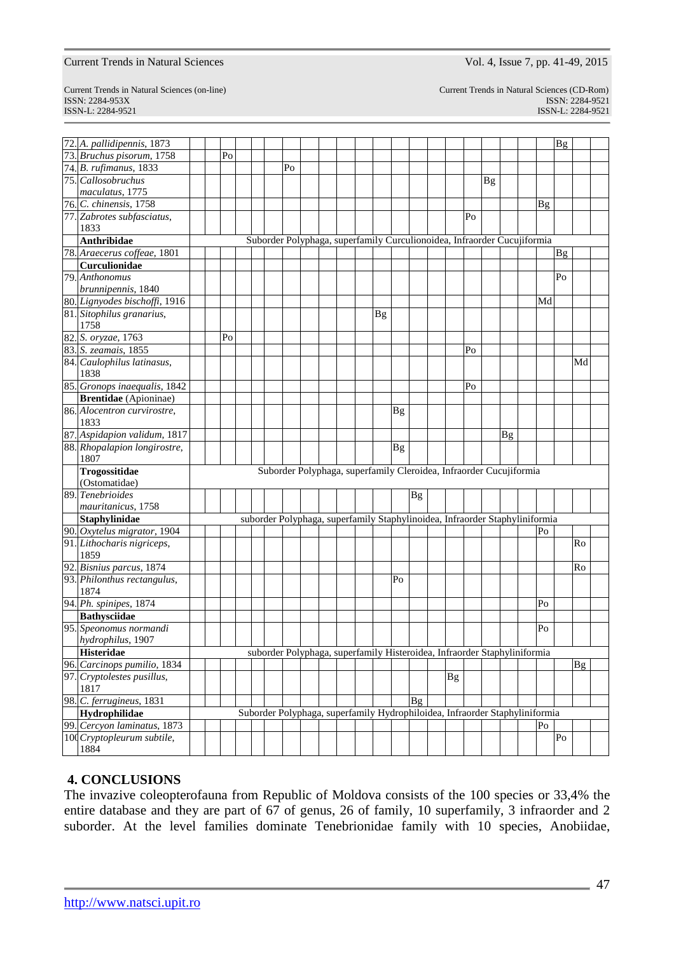ISSN: 2284-953XISSN: 2284-9521

Current Trends in Natural Sciences (CD-Rom)<br>ISSN: 2284-9521 ISSN-L: 2284-9521 ISSN-L: 2284-9521

| 72. A. pallidipennis, 1873          |  |    |                                                                             |    |  |  |    |           |                 |           |    |    |    |                | Bg       |           |  |
|-------------------------------------|--|----|-----------------------------------------------------------------------------|----|--|--|----|-----------|-----------------|-----------|----|----|----|----------------|----------|-----------|--|
| 73. Bruchus pisorum, 1758           |  | Po |                                                                             |    |  |  |    |           |                 |           |    |    |    |                |          |           |  |
| 74. B. rufimanus, 1833              |  |    |                                                                             | Po |  |  |    |           |                 |           |    |    |    |                |          |           |  |
| 75. Callosobruchus                  |  |    |                                                                             |    |  |  |    |           |                 |           |    | Bg |    |                |          |           |  |
| maculatus, 1775                     |  |    |                                                                             |    |  |  |    |           |                 |           |    |    |    |                |          |           |  |
| 76. C. chinensis, 1758              |  |    |                                                                             |    |  |  |    |           |                 |           |    |    |    | <b>Bg</b>      |          |           |  |
| 77. Zabrotes subfasciatus,          |  |    |                                                                             |    |  |  |    |           |                 |           | Po |    |    |                |          |           |  |
| 1833                                |  |    |                                                                             |    |  |  |    |           |                 |           |    |    |    |                |          |           |  |
| Anthribidae                         |  |    | Suborder Polyphaga, superfamily Curculionoidea, Infraorder Cucujiformia     |    |  |  |    |           |                 |           |    |    |    |                |          |           |  |
| 78. Araecerus coffeae, 1801         |  |    |                                                                             |    |  |  |    |           |                 |           |    |    |    |                | Bg       |           |  |
| Curculionidae                       |  |    |                                                                             |    |  |  |    |           |                 |           |    |    |    |                |          |           |  |
| 79. Anthonomus                      |  |    |                                                                             |    |  |  |    |           |                 |           |    |    |    |                | Po       |           |  |
| brunnipennis, 1840                  |  |    |                                                                             |    |  |  |    |           |                 |           |    |    |    |                |          |           |  |
| 80. Lignyodes bischoffi, 1916       |  |    |                                                                             |    |  |  |    |           |                 |           |    |    |    | Md             |          |           |  |
| 81. Sitophilus granarius,           |  |    |                                                                             |    |  |  | Bg |           |                 |           |    |    |    |                |          |           |  |
| 1758                                |  |    |                                                                             |    |  |  |    |           |                 |           |    |    |    |                |          |           |  |
| 82. S. oryzae, 1763                 |  | Po |                                                                             |    |  |  |    |           |                 |           |    |    |    |                |          |           |  |
| 83. S. zeamais, 1855                |  |    |                                                                             |    |  |  |    |           |                 |           | Po |    |    |                |          |           |  |
| 84. Caulophilus latinasus,<br>1838  |  |    |                                                                             |    |  |  |    |           |                 |           |    |    |    |                |          | Md        |  |
| 85. Gronops inaequalis, 1842        |  |    |                                                                             |    |  |  |    |           |                 |           | Po |    |    |                |          |           |  |
| <b>Brentidae</b> (Apioninae)        |  |    |                                                                             |    |  |  |    |           |                 |           |    |    |    |                |          |           |  |
| 86. Alocentron curvirostre,<br>1833 |  |    |                                                                             |    |  |  |    | <b>Bg</b> |                 |           |    |    |    |                |          |           |  |
| 87. Aspidapion validum, 1817        |  |    |                                                                             |    |  |  |    |           |                 |           |    |    | Bg |                |          |           |  |
| 88. Rhopalapion longirostre,        |  |    |                                                                             |    |  |  |    | <b>Bg</b> |                 |           |    |    |    |                |          |           |  |
| 1807                                |  |    |                                                                             |    |  |  |    |           |                 |           |    |    |    |                |          |           |  |
| Trogossitidae                       |  |    | Suborder Polyphaga, superfamily Cleroidea, Infraorder Cucujiformia          |    |  |  |    |           |                 |           |    |    |    |                |          |           |  |
| (Ostomatidae)                       |  |    |                                                                             |    |  |  |    |           |                 |           |    |    |    |                |          |           |  |
| 89. Tenebrioides                    |  |    |                                                                             |    |  |  |    |           | Bg              |           |    |    |    |                |          |           |  |
| mauritanicus, 1758                  |  |    |                                                                             |    |  |  |    |           |                 |           |    |    |    |                |          |           |  |
| <b>Staphylinidae</b>                |  |    | suborder Polyphaga, superfamily Staphylinoidea, Infraorder Staphyliniformia |    |  |  |    |           |                 |           |    |    |    |                |          |           |  |
| 90. Oxytelus migrator, 1904         |  |    |                                                                             |    |  |  |    |           |                 |           |    |    |    | Po             |          |           |  |
| 91. Lithocharis nigriceps,<br>1859  |  |    |                                                                             |    |  |  |    |           |                 |           |    |    |    |                |          | Ro        |  |
| 92. Bisnius parcus, 1874            |  |    |                                                                             |    |  |  |    |           |                 |           |    |    |    |                |          | Ro        |  |
| 93. Philonthus rectangulus,         |  |    |                                                                             |    |  |  |    | Po        |                 |           |    |    |    |                |          |           |  |
| 1874                                |  |    |                                                                             |    |  |  |    |           |                 |           |    |    |    |                |          |           |  |
| 94. Ph. spinipes, 1874              |  |    |                                                                             |    |  |  |    |           |                 |           |    |    |    | Po             |          |           |  |
| <b>Bathysciidae</b>                 |  |    |                                                                             |    |  |  |    |           |                 |           |    |    |    |                |          |           |  |
| 95. Speonomus normandi              |  |    |                                                                             |    |  |  |    |           |                 |           |    |    |    | Po             |          |           |  |
| hydrophilus, 1907                   |  |    |                                                                             |    |  |  |    |           |                 |           |    |    |    |                |          |           |  |
| <b>Histeridae</b>                   |  |    | suborder Polyphaga, superfamily Histeroidea, Infraorder Staphyliniformia    |    |  |  |    |           |                 |           |    |    |    |                |          |           |  |
| 96. Carcinops pumilio, 1834         |  |    |                                                                             |    |  |  |    |           |                 |           |    |    |    |                |          | <b>Bg</b> |  |
| 97. Cryptolestes pusillus,<br>1817  |  |    |                                                                             |    |  |  |    |           |                 | <b>Bg</b> |    |    |    |                |          |           |  |
| 98. C. ferrugineus, 1831            |  |    |                                                                             |    |  |  |    |           | $\overline{B}g$ |           |    |    |    |                |          |           |  |
| Hydrophilidae                       |  |    | Suborder Polyphaga, superfamily Hydrophiloidea, Infraorder Staphyliniformia |    |  |  |    |           |                 |           |    |    |    |                |          |           |  |
| 99. Cercyon laminatus, 1873         |  |    |                                                                             |    |  |  |    |           |                 |           |    |    |    | P <sub>O</sub> |          |           |  |
| 100 Cryptopleurum subtile,<br>1884  |  |    |                                                                             |    |  |  |    |           |                 |           |    |    |    |                | $\rm Po$ |           |  |
|                                     |  |    |                                                                             |    |  |  |    |           |                 |           |    |    |    |                |          |           |  |

# **4. CONCLUSIONS**

The invazive coleopterofauna from Republic of Moldova consists of the 100 species or 33,4% the entire database and they are part of 67 of genus, 26 of family, 10 superfamily, 3 infraorder and 2 suborder. At the level families dominate Tenebrionidae family with 10 species, Anobiidae,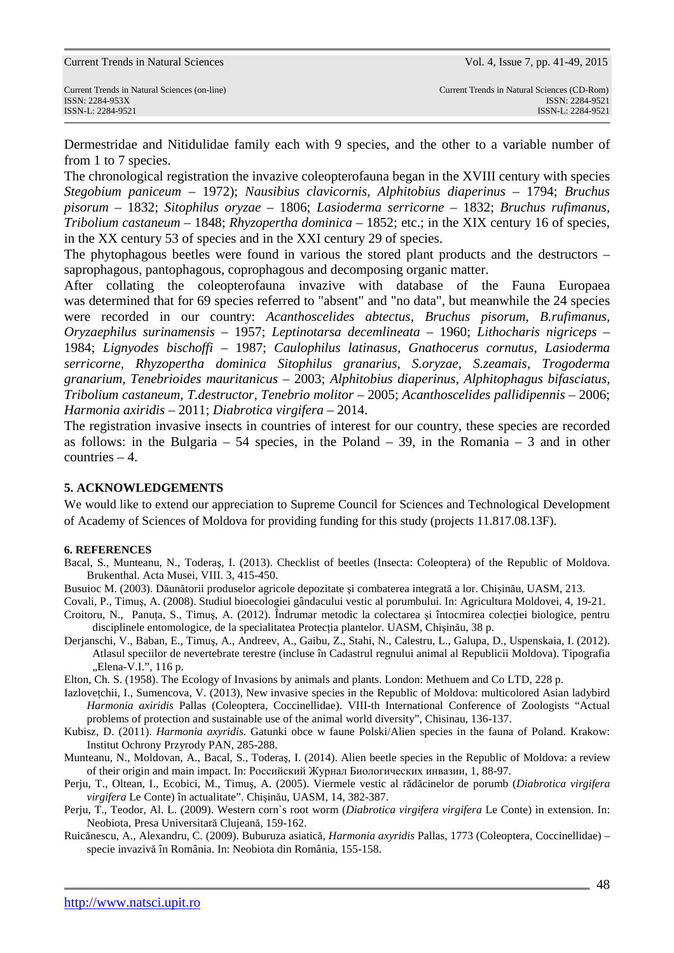Dermestridae and Nitidulidae family each with 9 species, and the other to a variable number of from 1 to 7 species.

The chronological registration the invazive coleopterofauna began in the XVIII century with species *Stegobium paniceum* – 1972); *Nausibius clavicornis, Alphitobius diaperinus* – 1794; *Bruchus pisorum* – 1832; *Sitophilus oryzae* – 1806; *Lasioderma serricorne* – 1832; *Bruchus rufimanus, Tribolium castaneum* – 1848; *Rhyzopertha dominica* – 1852; etc.; in the XIX century 16 of species, in the XX century 53 of species and in the XXI century 29 of species.

The phytophagous beetles were found in various the stored plant products and the destructors – saprophagous, pantophagous, coprophagous and decomposing organic matter.

After collating the coleopterofauna invazive with database of the Fauna Europaea was determined that for 69 species referred to "absent" and "no data", but meanwhile the 24 species were recorded in our country: *Acanthoscelides abtectus, Bruchus pisorum*, *B.rufimanus, Oryzaephilus surinamensis* – 1957; *Leptinotarsa decemlineata* – 1960; *Lithocharis nigriceps* – 1984; *Lignyodes bischoffi* – 1987; *Caulophilus latinasus, Gnathocerus cornutus, Lasioderma serricorne, Rhyzopertha dominica Sitophilus granarius, S.oryzae, S.zeamais, Trogoderma granarium, Tenebrioides mauritanicus* – 2003; *Alphitobius diaperinus*, *Alphitophagus bifasciatus, Tribolium castaneum, T.destructor*, *Tenebrio molitor* – 2005; *Acanthoscelides pallidipennis* – 2006; *Harmonia axiridis* – 2011; *Diabrotica virgifera* – 2014.

The registration invasive insects in countries of interest for our country, these species are recorded as follows: in the Bulgaria – 54 species, in the Poland – 39, in the Romania – 3 and in other countries – 4.

# **5. ACKNOWLEDGEMENTS**

We would like to extend our appreciation to Supreme Council for Sciences and Technological Development of Academy of Sciences of Moldova for providing funding for this study (projects 11.817.08.13F).

## **6. REFERENCES**

- Bacal, S., Munteanu, N., Toderaş, I. (2013). Checklist of beetles (Insecta: Coleoptera) of the Republic of Moldova. Brukenthal. Acta Musei, VIII. 3, 415-450.
- Busuioc M. (2003). Dăunătorii produselor agricole depozitate şi combaterea integrată a lor. Chişinău, UASM, 213.
- Covali, P., Timuş, A. (2008). Studiul bioecologiei gândacului vestic al porumbului. In: Agricultura Moldovei, 4, 19-21.
- Croitoru, N., Panuţa, S., Timuş, A. (2012). Îndrumar metodic la colectarea şi întocmirea colecţiei biologice, pentru disciplinele entomologice, de la specialitatea Protecţia plantelor. UASM, Chişinău, 38 p.
- Derjanschi, V., Baban, E., Timuş, A., Andreev, A., Gaibu, Z., Stahi, N., Calestru, L., Galupa, D., Uspenskaia, I. (2012). Atlasul speciilor de nevertebrate terestre (incluse în Cadastrul regnului animal al Republicii Moldova). Tipografia "Elena-V.I.", 116 p.
- Elton, Ch. S. (1958). The Ecology of Invasions by animals and plants. London: Methuem and Co LTD, 228 p.
- Iazloveţchii, I., Sumencova, V. (2013), New invasive species in the Republic of Moldova: multicolored Asian ladybird *Harmonia axiridis* Pallas (Coleoptera, Coccinellidae). VIII-th International Conference of Zoologists "Actual problems of protection and sustainable use of the animal world diversity", Chisinau, 136-137.
- Kubisz, D. (2011). *Harmonia axyridis*. Gatunki obce w faune Polski/Alien species in the fauna of Poland. Krakow: Institut Ochrony Przyrody PAN, 285-288.
- Munteanu, N., Moldovan, A., Bacal, S., Toderaş, I. (2014). Alien beetle species in the Republic of Moldova: a review of their origin and main impact. In: Российский Журнал Биологических инвазии, 1, 88-97.
- Perju, T., Oltean, I., Ecobici, M., Timuş, A. (2005). Viermele vestic al rădăcinelor de porumb (*Diabrotica virgifera virgifera* Le Conte) în actualitate". Chişinău, UASM, 14, 382-387.
- Perju, T., Teodor, Al. L. (2009). Western corn`s root worm (*Diabrotica virgifera virgifera* Le Conte) in extension. In: Neobiota, Presa Universitară Clujeană, 159-162.
- Ruicănescu, A., Alexandru, C. (2009). Buburuza asiatică, *Harmonia axyridis* Pallas, 1773 (Coleoptera, Coccinellidae) specie invazivă în România. In: Neobiota din România, 155-158.